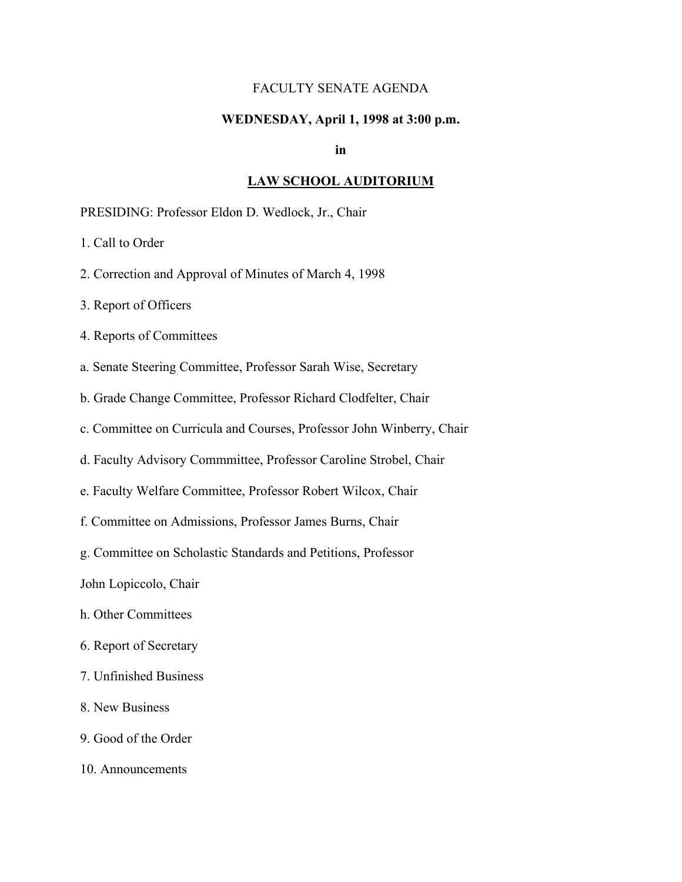### FACULTY SENATE AGENDA

### **WEDNESDAY, April 1, 1998 at 3:00 p.m.**

**in**

#### **LAW SCHOOL AUDITORIUM**

PRESIDING: Professor Eldon D. Wedlock, Jr., Chair

1. Call to Order

2. Correction and Approval of Minutes of March 4, 1998

3. Report of Officers

4. Reports of Committees

a. Senate Steering Committee, Professor Sarah Wise, Secretary

b. Grade Change Committee, Professor Richard Clodfelter, Chair

c. Committee on Curricula and Courses, Professor John Winberry, Chair

d. Faculty Advisory Commmittee, Professor Caroline Strobel, Chair

e. Faculty Welfare Committee, Professor Robert Wilcox, Chair

f. Committee on Admissions, Professor James Burns, Chair

g. Committee on Scholastic Standards and Petitions, Professor

John Lopiccolo, Chair

- h. Other Committees
- 6. Report of Secretary
- 7. Unfinished Business
- 8. New Business
- 9. Good of the Order
- 10. Announcements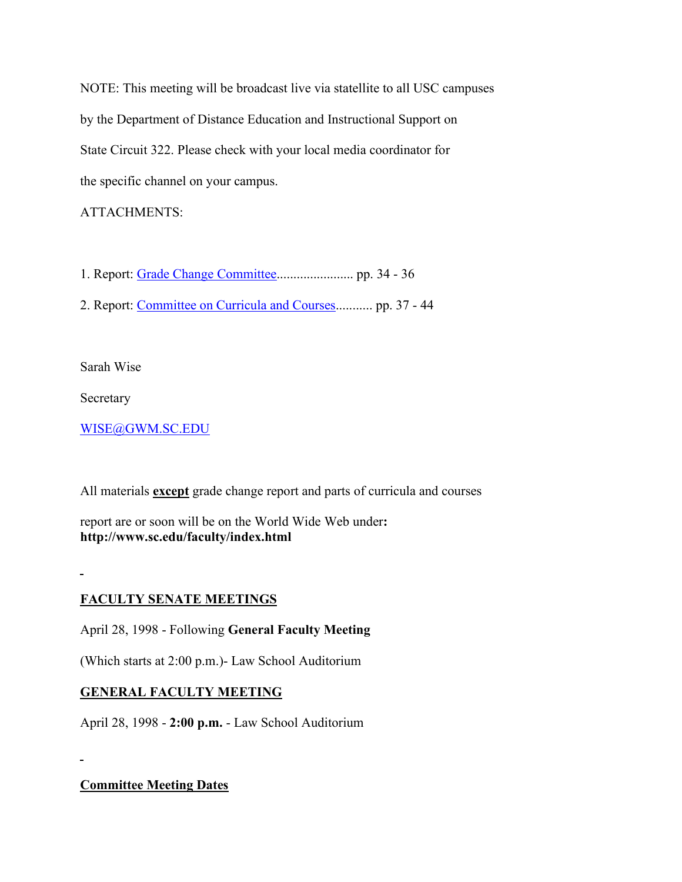NOTE: This meeting will be broadcast live via statellite to all USC campuses by the Department of Distance Education and Instructional Support on State Circuit 322. Please check with your local media coordinator for the specific channel on your campus.

## ATTACHMENTS:

1. Report: [Grade Change Committee.](http://radon.qa.sc.edu/wwwarchives/faculty/senate/98/agenda/0401.gcr.html)...................... pp. 34 - 36

2. Report: [Committee on Curricula and Courses.](http://radon.qa.sc.edu/wwwarchives/faculty/senate/98/agenda/0401.cc.html).......... pp. 37 - 44

Sarah Wise

Secretary

[WISE@GWM.SC.EDU](mailto:wise@gwm.sc.edu)

All materials **except** grade change report and parts of curricula and courses

report are or soon will be on the World Wide Web under**: http://www.sc.edu/faculty/index.html**

# **FACULTY SENATE MEETINGS**

April 28, 1998 - Following **General Faculty Meeting**

(Which starts at 2:00 p.m.)- Law School Auditorium

# **GENERAL FACULTY MEETING**

April 28, 1998 - **2:00 p.m.** - Law School Auditorium

**Committee Meeting Dates**